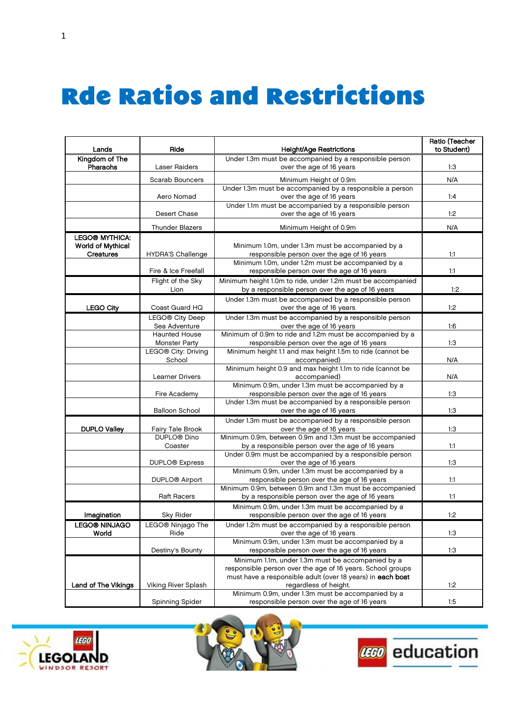## **Rde Ratios and Restrictions**

| Lands                    | Ride                             | <b>Height/Age Restrictions</b>                                                                                  | Ratio (Teacher<br>to Student) |
|--------------------------|----------------------------------|-----------------------------------------------------------------------------------------------------------------|-------------------------------|
| Kingdom of The           |                                  | Under 1.3m must be accompanied by a responsible person                                                          |                               |
| Pharaohs                 | Laser Raiders                    | over the age of 16 years                                                                                        | 1:3                           |
|                          | Scarab Bouncers                  | Minimum Height of 0.9m                                                                                          | N/A                           |
|                          |                                  | Under 1.3m must be accompanied by a responsible a person                                                        |                               |
|                          | Aero Nomad                       | over the age of 16 years                                                                                        | 1:4                           |
|                          |                                  | Under 1.1m must be accompanied by a responsible person                                                          |                               |
|                          | Desert Chase                     | over the age of 16 years                                                                                        | 1:2                           |
|                          | Thunder Blazers                  | Minimum Height of 0.9m                                                                                          | N/A                           |
| <b>LEGO® MYTHICA:</b>    |                                  |                                                                                                                 |                               |
| <b>World of Mythical</b> |                                  | Minimum 1.0m, under 1.3m must be accompanied by a                                                               |                               |
| <b>Creatures</b>         | <b>HYDRA'S Challenge</b>         | responsible person over the age of 16 years                                                                     | 1:1                           |
|                          |                                  | Minimum 1.0m, under 1.2m must be accompanied by a                                                               |                               |
|                          | Fire & Ice Freefall              | responsible person over the age of 16 years                                                                     | 1:1                           |
|                          | Flight of the Sky<br>Lion        | Minimum height 1.0m to ride, under 1.2m must be accompanied<br>by a responsible person over the age of 16 years | 1:2                           |
|                          |                                  |                                                                                                                 |                               |
| <b>LEGO City</b>         | Coast Guard HQ                   | Under 1.3m must be accompanied by a responsible person<br>over the age of 16 years                              | 1:2                           |
|                          |                                  |                                                                                                                 |                               |
|                          | LEGO® City Deep<br>Sea Adventure | Under 1.3m must be accompanied by a responsible person<br>over the age of 16 years                              | 1:6                           |
|                          | <b>Haunted House</b>             | Minimum of 0.9m to ride and 1.2m must be accompanied by a                                                       |                               |
|                          | <b>Monster Party</b>             | responsible person over the age of 16 years                                                                     | 1:3                           |
|                          | LEGO® City: Driving              | Minimum height 1.1 and max height 1.5m to ride (cannot be                                                       |                               |
|                          | School                           | accompanied)                                                                                                    | N/A                           |
|                          |                                  | Minimum height 0.9 and max height 1.1m to ride (cannot be                                                       |                               |
|                          | Learner Drivers                  | accompanied)                                                                                                    | N/A                           |
|                          |                                  | Minimum 0.9m, under 1.3m must be accompanied by a                                                               | 1:3                           |
|                          | Fire Academy                     | responsible person over the age of 16 years<br>Under 1.3m must be accompanied by a responsible person           |                               |
|                          | <b>Balloon School</b>            | over the age of 16 years                                                                                        | 1:3                           |
|                          |                                  | Under 1.3m must be accompanied by a responsible person                                                          |                               |
| <b>DUPLO Valley</b>      | Fairy Tale Brook                 | over the age of 16 years                                                                                        | 1:3                           |
|                          | DUPLO <sup>®</sup> Dino          | Minimum 0.9m, between 0.9m and 1.3m must be accompanied                                                         |                               |
|                          | Coaster                          | by a responsible person over the age of 16 years                                                                | 1:1                           |
|                          |                                  | Under 0.9m must be accompanied by a responsible person                                                          |                               |
|                          | DUPLO <sup>®</sup> Express       | over the age of 16 years                                                                                        | 1:3                           |
|                          |                                  | Minimum 0.9m, under 1.3m must be accompanied by a                                                               |                               |
|                          | DUPLO <sup>®</sup> Airport       | responsible person over the age of 16 years<br>Minimum 0.9m, between 0.9m and 1.3m must be accompanied          | 1:1                           |
|                          | <b>Raft Racers</b>               | by a responsible person over the age of 16 years                                                                | 1:1                           |
|                          |                                  | Minimum 0.9m, under 1.3m must be accompanied by a                                                               |                               |
| Imagination              | Sky Rider                        | responsible person over the age of 16 years                                                                     | 1:2                           |
| <b>LEGO® NINJAGO</b>     | LEGO® Ninjago The                | Under 1.2m must be accompanied by a responsible person                                                          |                               |
| World                    | Ride                             | over the age of 16 years                                                                                        | 1:3                           |
|                          |                                  | Minimum 0.9m, under 1.3m must be accompanied by a                                                               |                               |
|                          | Destiny's Bounty                 | responsible person over the age of 16 years                                                                     | 1:3                           |
|                          |                                  | Minimum 1.1m, under 1.3m must be accompanied by a                                                               |                               |
|                          |                                  | responsible person over the age of 16 years. School groups                                                      |                               |
|                          |                                  | must have a responsible adult (over 18 years) in each boat                                                      |                               |
| Land of The Vikings      | Viking River Splash              | regardless of height.<br>Minimum 0.9m, under 1.3m must be accompanied by a                                      | 1:2                           |
|                          | Spinning Spider                  | responsible person over the age of 16 years                                                                     | 1:5                           |